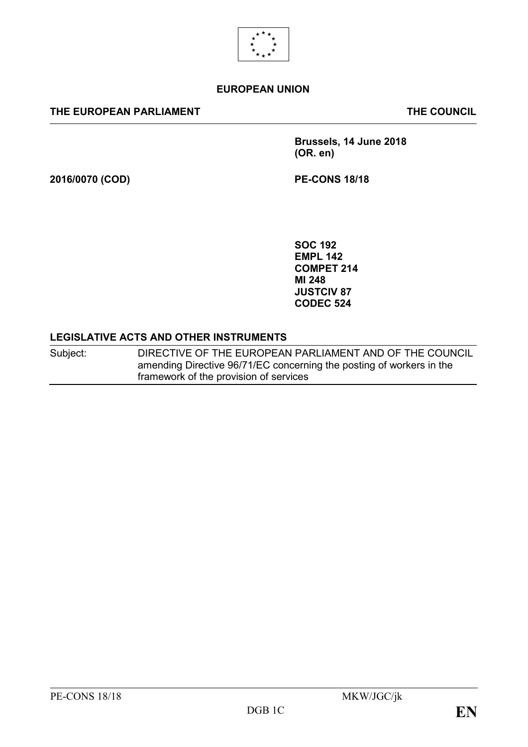

#### **EUROPEAN UNION**

#### **THE EUROPEAN PARLIAMENT THE COUNCIL**

**Brussels, 14 June 2018 (OR. en)**

**2016/0070 (COD) PE-CONS 18/18**

**SOC 192 EMPL 142 COMPET 214 MI 248 JUSTCIV 87 CODEC 524**

#### **LEGISLATIVE ACTS AND OTHER INSTRUMENTS**

Subject: DIRECTIVE OF THE EUROPEAN PARLIAMENT AND OF THE COUNCIL amending Directive 96/71/EC concerning the posting of workers in the framework of the provision of services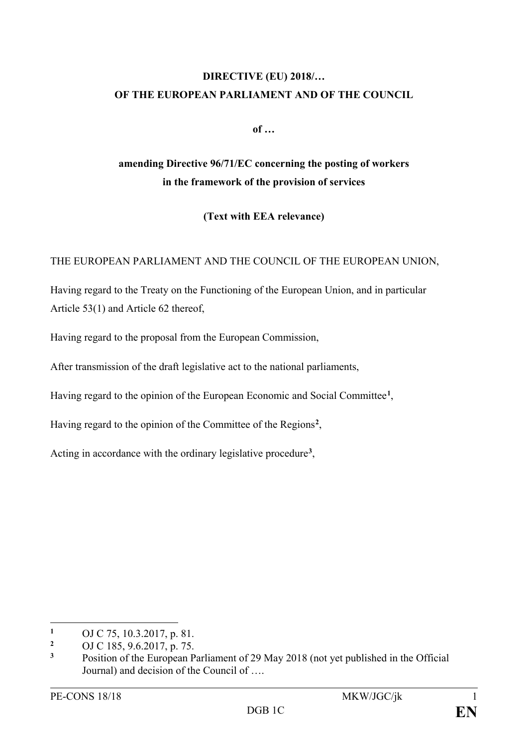# **DIRECTIVE (EU) 2018/… OF THE EUROPEAN PARLIAMENT AND OF THE COUNCIL**

**of …**

# **amending Directive 96/71/EC concerning the posting of workers in the framework of the provision of services**

**(Text with EEA relevance)**

THE EUROPEAN PARLIAMENT AND THE COUNCIL OF THE EUROPEAN UNION,

Having regard to the Treaty on the Functioning of the European Union, and in particular Article 53(1) and Article 62 thereof,

Having regard to the proposal from the European Commission,

After transmission of the draft legislative act to the national parliaments,

Having regard to the opinion of the European Economic and Social Committee**[1](#page-1-0)**,

Having regard to the opinion of the Committee of the Regions**[2](#page-1-1)**,

Acting in accordance with the ordinary legislative procedure**[3](#page-1-2)**,

 $\overline{a}$ 

<span id="page-1-0"></span><sup>&</sup>lt;sup>1</sup> OJ C 75, 10.3.2017, p. 81.

<span id="page-1-1"></span><sup>&</sup>lt;sup>2</sup> OJ C 185, 9.6.2017, p. 75.<br><sup>3</sup> Position of the European P

<span id="page-1-2"></span>**<sup>3</sup>** Position of the European Parliament of 29 May 2018 (not yet published in the Official Journal) and decision of the Council of ….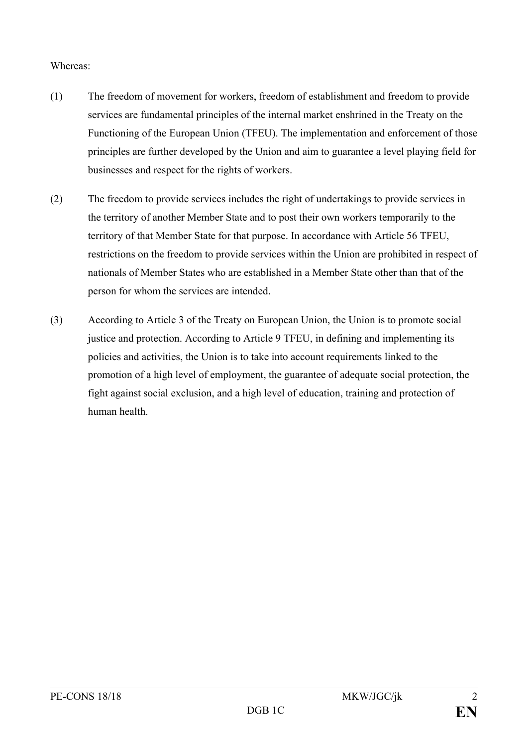#### Whereas:

- (1) The freedom of movement for workers, freedom of establishment and freedom to provide services are fundamental principles of the internal market enshrined in the Treaty on the Functioning of the European Union (TFEU). The implementation and enforcement of those principles are further developed by the Union and aim to guarantee a level playing field for businesses and respect for the rights of workers.
- (2) The freedom to provide services includes the right of undertakings to provide services in the territory of another Member State and to post their own workers temporarily to the territory of that Member State for that purpose. In accordance with Article 56 TFEU, restrictions on the freedom to provide services within the Union are prohibited in respect of nationals of Member States who are established in a Member State other than that of the person for whom the services are intended.
- (3) According to Article 3 of the Treaty on European Union, the Union is to promote social justice and protection. According to Article 9 TFEU, in defining and implementing its policies and activities, the Union is to take into account requirements linked to the promotion of a high level of employment, the guarantee of adequate social protection, the fight against social exclusion, and a high level of education, training and protection of human health.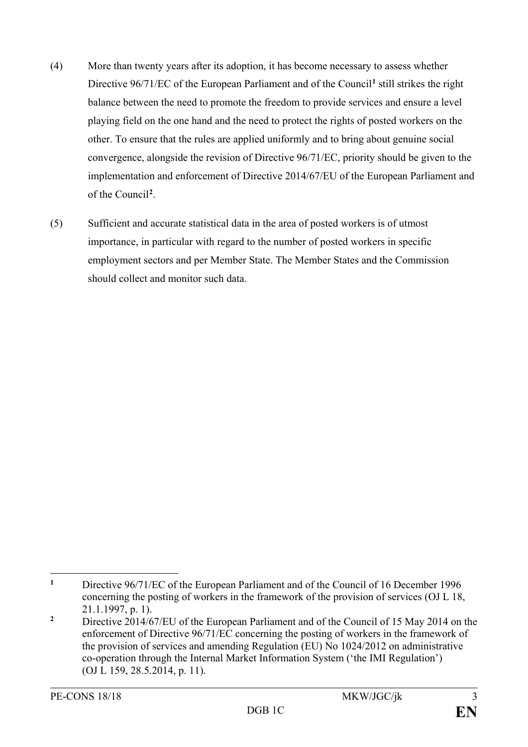- (4) More than twenty years after its adoption, it has become necessary to assess whether Directive 96/71/EC of the European Parliament and of the Council**[1](#page-3-0)** still strikes the right balance between the need to promote the freedom to provide services and ensure a level playing field on the one hand and the need to protect the rights of posted workers on the other. To ensure that the rules are applied uniformly and to bring about genuine social convergence, alongside the revision of Directive 96/71/EC, priority should be given to the implementation and enforcement of Directive 2014/67/EU of the European Parliament and of the Council**[2](#page-3-1)** .
- (5) Sufficient and accurate statistical data in the area of posted workers is of utmost importance, in particular with regard to the number of posted workers in specific employment sectors and per Member State. The Member States and the Commission should collect and monitor such data.

<span id="page-3-0"></span> $\mathbf{1}$ **<sup>1</sup>** Directive 96/71/EC of the European Parliament and of the Council of 16 December 1996 concerning the posting of workers in the framework of the provision of services (OJ L 18, 21.1.1997, p. 1).

<span id="page-3-1"></span><sup>&</sup>lt;sup>2</sup> Directive 2014/67/EU of the European Parliament and of the Council of 15 May 2014 on the enforcement of Directive 96/71/EC concerning the posting of workers in the framework of the provision of services and amending Regulation (EU) No 1024/2012 on administrative co-operation through the Internal Market Information System ('the IMI Regulation') (OJ L 159, 28.5.2014, p. 11).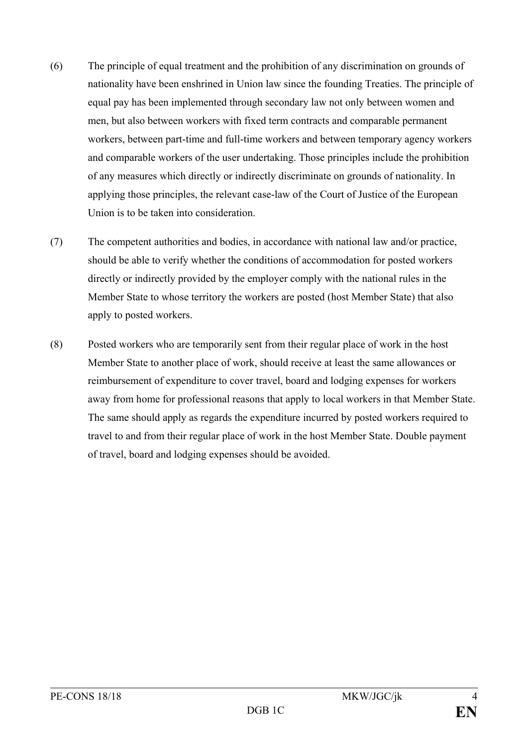- (6) The principle of equal treatment and the prohibition of any discrimination on grounds of nationality have been enshrined in Union law since the founding Treaties. The principle of equal pay has been implemented through secondary law not only between women and men, but also between workers with fixed term contracts and comparable permanent workers, between part-time and full-time workers and between temporary agency workers and comparable workers of the user undertaking. Those principles include the prohibition of any measures which directly or indirectly discriminate on grounds of nationality. In applying those principles, the relevant case-law of the Court of Justice of the European Union is to be taken into consideration.
- (7) The competent authorities and bodies, in accordance with national law and/or practice, should be able to verify whether the conditions of accommodation for posted workers directly or indirectly provided by the employer comply with the national rules in the Member State to whose territory the workers are posted (host Member State) that also apply to posted workers.
- (8) Posted workers who are temporarily sent from their regular place of work in the host Member State to another place of work, should receive at least the same allowances or reimbursement of expenditure to cover travel, board and lodging expenses for workers away from home for professional reasons that apply to local workers in that Member State. The same should apply as regards the expenditure incurred by posted workers required to travel to and from their regular place of work in the host Member State. Double payment of travel, board and lodging expenses should be avoided.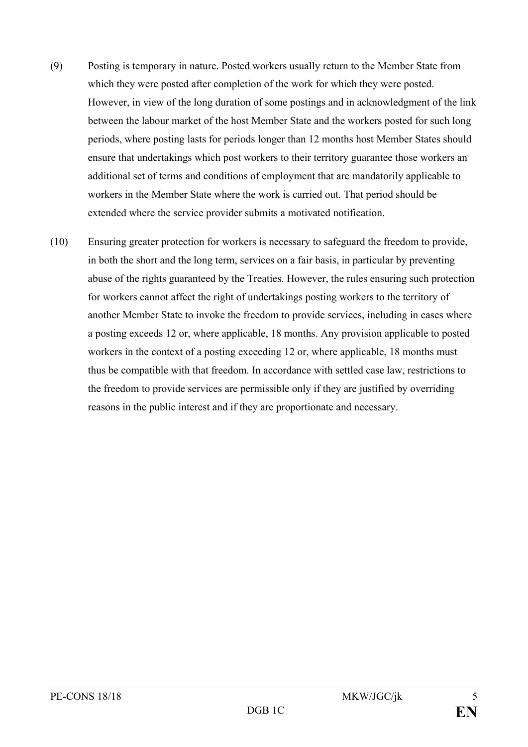- (9) Posting is temporary in nature. Posted workers usually return to the Member State from which they were posted after completion of the work for which they were posted. However, in view of the long duration of some postings and in acknowledgment of the link between the labour market of the host Member State and the workers posted for such long periods, where posting lasts for periods longer than 12 months host Member States should ensure that undertakings which post workers to their territory guarantee those workers an additional set of terms and conditions of employment that are mandatorily applicable to workers in the Member State where the work is carried out. That period should be extended where the service provider submits a motivated notification.
- (10) Ensuring greater protection for workers is necessary to safeguard the freedom to provide, in both the short and the long term, services on a fair basis, in particular by preventing abuse of the rights guaranteed by the Treaties. However, the rules ensuring such protection for workers cannot affect the right of undertakings posting workers to the territory of another Member State to invoke the freedom to provide services, including in cases where a posting exceeds 12 or, where applicable, 18 months. Any provision applicable to posted workers in the context of a posting exceeding 12 or, where applicable, 18 months must thus be compatible with that freedom. In accordance with settled case law, restrictions to the freedom to provide services are permissible only if they are justified by overriding reasons in the public interest and if they are proportionate and necessary.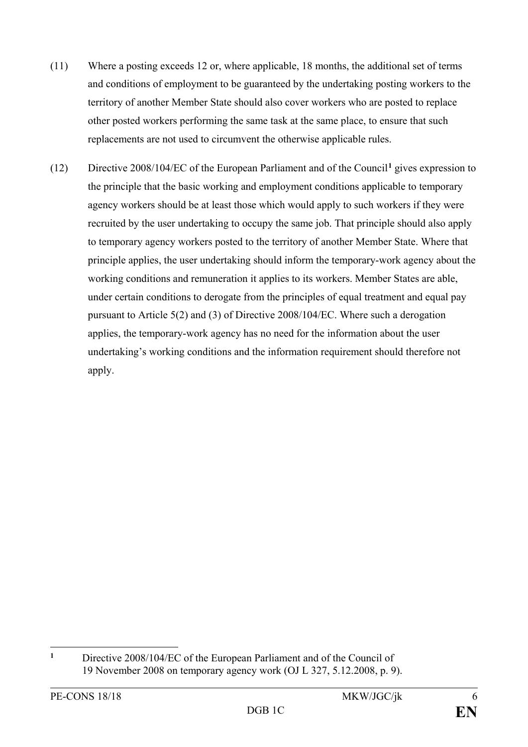- (11) Where a posting exceeds 12 or, where applicable, 18 months, the additional set of terms and conditions of employment to be guaranteed by the undertaking posting workers to the territory of another Member State should also cover workers who are posted to replace other posted workers performing the same task at the same place, to ensure that such replacements are not used to circumvent the otherwise applicable rules.
- (12) Directive 2008/104/EC of the European Parliament and of the Council**[1](#page-6-0)** gives expression to the principle that the basic working and employment conditions applicable to temporary agency workers should be at least those which would apply to such workers if they were recruited by the user undertaking to occupy the same job. That principle should also apply to temporary agency workers posted to the territory of another Member State. Where that principle applies, the user undertaking should inform the temporary-work agency about the working conditions and remuneration it applies to its workers. Member States are able, under certain conditions to derogate from the principles of equal treatment and equal pay pursuant to Article 5(2) and (3) of Directive 2008/104/EC. Where such a derogation applies, the temporary-work agency has no need for the information about the user undertaking's working conditions and the information requirement should therefore not apply.

<span id="page-6-0"></span> $\mathbf{1}$ **<sup>1</sup>** Directive 2008/104/EC of the European Parliament and of the Council of 19 November 2008 on temporary agency work (OJ L 327, 5.12.2008, p. 9).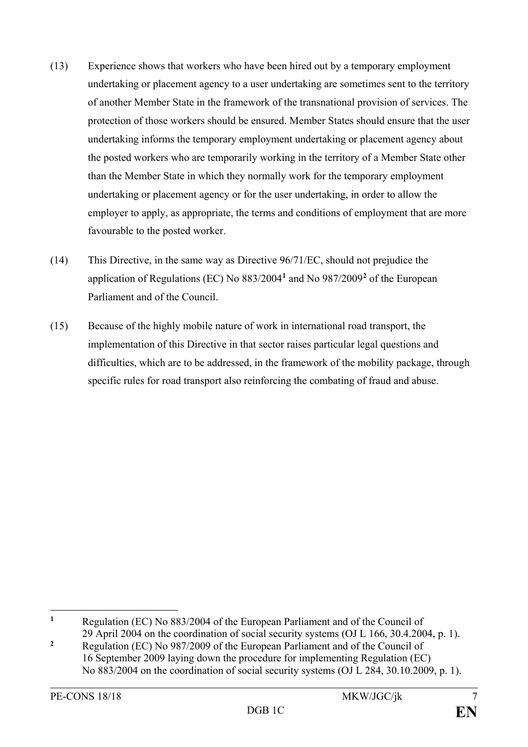- (13) Experience shows that workers who have been hired out by a temporary employment undertaking or placement agency to a user undertaking are sometimes sent to the territory of another Member State in the framework of the transnational provision of services. The protection of those workers should be ensured. Member States should ensure that the user undertaking informs the temporary employment undertaking or placement agency about the posted workers who are temporarily working in the territory of a Member State other than the Member State in which they normally work for the temporary employment undertaking or placement agency or for the user undertaking, in order to allow the employer to apply, as appropriate, the terms and conditions of employment that are more favourable to the posted worker.
- (14) This Directive, in the same way as Directive 96/71/EC, should not prejudice the application of Regulations (EC) No 883/2004**[1](#page-7-0)** and No 987/2009**[2](#page-7-1)** of the European Parliament and of the Council.
- (15) Because of the highly mobile nature of work in international road transport, the implementation of this Directive in that sector raises particular legal questions and difficulties, which are to be addressed, in the framework of the mobility package, through specific rules for road transport also reinforcing the combating of fraud and abuse.

 $\mathbf{1}$ **<sup>1</sup>** Regulation (EC) No 883/2004 of the European Parliament and of the Council of

<span id="page-7-1"></span><span id="page-7-0"></span><sup>29</sup> April 2004 on the coordination of social security systems (OJ L 166, 30.4.2004, p. 1). **<sup>2</sup>** Regulation (EC) No 987/2009 of the European Parliament and of the Council of 16 September 2009 laying down the procedure for implementing Regulation (EC) No 883/2004 on the coordination of social security systems (OJ L 284, 30.10.2009, p. 1).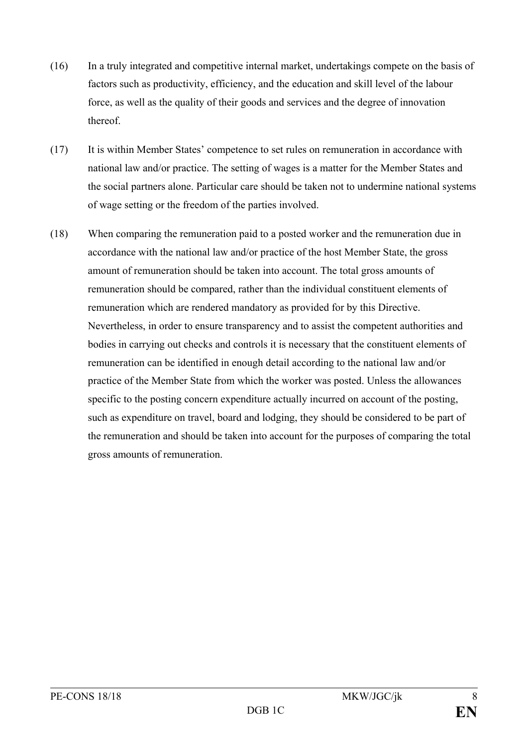- (16) In a truly integrated and competitive internal market, undertakings compete on the basis of factors such as productivity, efficiency, and the education and skill level of the labour force, as well as the quality of their goods and services and the degree of innovation thereof.
- (17) It is within Member States' competence to set rules on remuneration in accordance with national law and/or practice. The setting of wages is a matter for the Member States and the social partners alone. Particular care should be taken not to undermine national systems of wage setting or the freedom of the parties involved.
- (18) When comparing the remuneration paid to a posted worker and the remuneration due in accordance with the national law and/or practice of the host Member State, the gross amount of remuneration should be taken into account. The total gross amounts of remuneration should be compared, rather than the individual constituent elements of remuneration which are rendered mandatory as provided for by this Directive. Nevertheless, in order to ensure transparency and to assist the competent authorities and bodies in carrying out checks and controls it is necessary that the constituent elements of remuneration can be identified in enough detail according to the national law and/or practice of the Member State from which the worker was posted. Unless the allowances specific to the posting concern expenditure actually incurred on account of the posting, such as expenditure on travel, board and lodging, they should be considered to be part of the remuneration and should be taken into account for the purposes of comparing the total gross amounts of remuneration.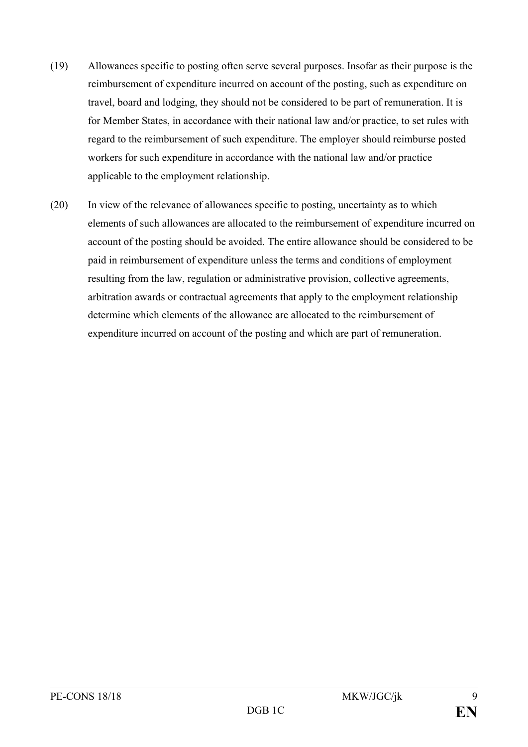- (19) Allowances specific to posting often serve several purposes. Insofar as their purpose is the reimbursement of expenditure incurred on account of the posting, such as expenditure on travel, board and lodging, they should not be considered to be part of remuneration. It is for Member States, in accordance with their national law and/or practice, to set rules with regard to the reimbursement of such expenditure. The employer should reimburse posted workers for such expenditure in accordance with the national law and/or practice applicable to the employment relationship.
- (20) In view of the relevance of allowances specific to posting, uncertainty as to which elements of such allowances are allocated to the reimbursement of expenditure incurred on account of the posting should be avoided. The entire allowance should be considered to be paid in reimbursement of expenditure unless the terms and conditions of employment resulting from the law, regulation or administrative provision, collective agreements, arbitration awards or contractual agreements that apply to the employment relationship determine which elements of the allowance are allocated to the reimbursement of expenditure incurred on account of the posting and which are part of remuneration.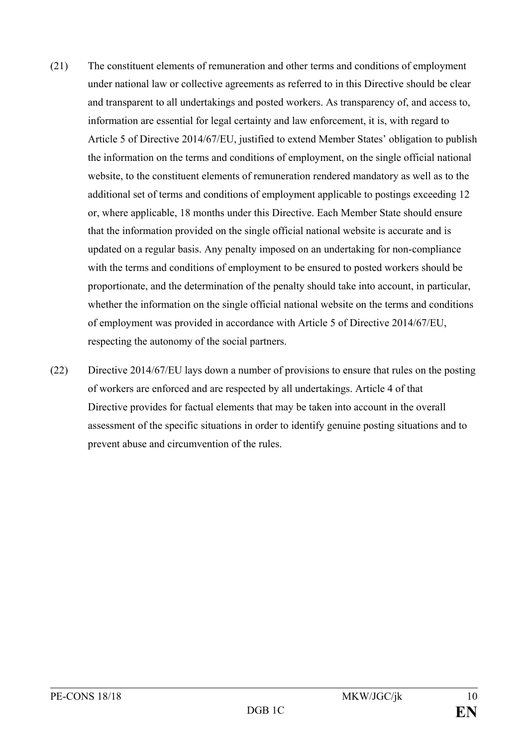- (21) The constituent elements of remuneration and other terms and conditions of employment under national law or collective agreements as referred to in this Directive should be clear and transparent to all undertakings and posted workers. As transparency of, and access to, information are essential for legal certainty and law enforcement, it is, with regard to Article 5 of Directive 2014/67/EU, justified to extend Member States' obligation to publish the information on the terms and conditions of employment, on the single official national website, to the constituent elements of remuneration rendered mandatory as well as to the additional set of terms and conditions of employment applicable to postings exceeding 12 or, where applicable, 18 months under this Directive. Each Member State should ensure that the information provided on the single official national website is accurate and is updated on a regular basis. Any penalty imposed on an undertaking for non-compliance with the terms and conditions of employment to be ensured to posted workers should be proportionate, and the determination of the penalty should take into account, in particular, whether the information on the single official national website on the terms and conditions of employment was provided in accordance with Article 5 of Directive 2014/67/EU, respecting the autonomy of the social partners.
- (22) Directive 2014/67/EU lays down a number of provisions to ensure that rules on the posting of workers are enforced and are respected by all undertakings. Article 4 of that Directive provides for factual elements that may be taken into account in the overall assessment of the specific situations in order to identify genuine posting situations and to prevent abuse and circumvention of the rules.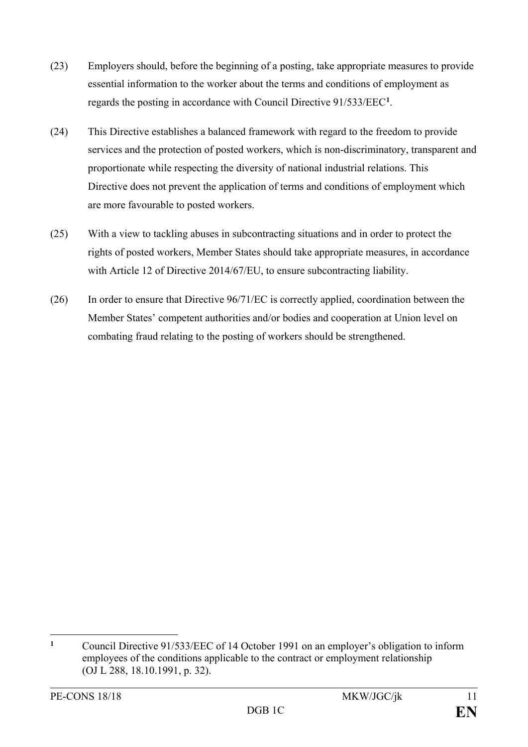- (23) Employers should, before the beginning of a posting, take appropriate measures to provide essential information to the worker about the terms and conditions of employment as regards the posting in accordance with Council Directive 91/533/EEC**[1](#page-11-0)** .
- (24) This Directive establishes a balanced framework with regard to the freedom to provide services and the protection of posted workers, which is non-discriminatory, transparent and proportionate while respecting the diversity of national industrial relations. This Directive does not prevent the application of terms and conditions of employment which are more favourable to posted workers.
- (25) With a view to tackling abuses in subcontracting situations and in order to protect the rights of posted workers, Member States should take appropriate measures, in accordance with Article 12 of Directive 2014/67/EU, to ensure subcontracting liability.
- (26) In order to ensure that Directive 96/71/EC is correctly applied, coordination between the Member States' competent authorities and/or bodies and cooperation at Union level on combating fraud relating to the posting of workers should be strengthened.

<span id="page-11-0"></span> $\mathbf{1}$ **<sup>1</sup>** Council Directive 91/533/EEC of 14 October 1991 on an employer's obligation to inform employees of the conditions applicable to the contract or employment relationship (OJ L 288, 18.10.1991, p. 32).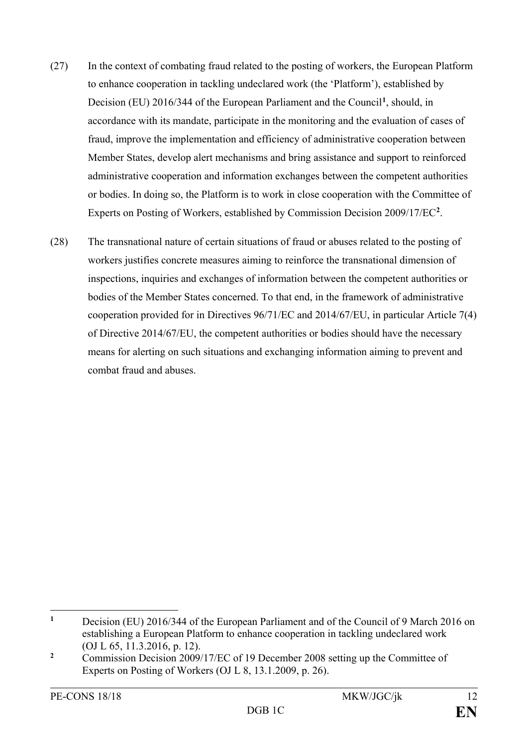- (27) In the context of combating fraud related to the posting of workers, the European Platform to enhance cooperation in tackling undeclared work (the ʻPlatform'), established by Decision (EU) 20[1](#page-12-0)6/344 of the European Parliament and the Council<sup>1</sup>, should, in accordance with its mandate, participate in the monitoring and the evaluation of cases of fraud, improve the implementation and efficiency of administrative cooperation between Member States, develop alert mechanisms and bring assistance and support to reinforced administrative cooperation and information exchanges between the competent authorities or bodies. In doing so, the Platform is to work in close cooperation with the Committee of Experts on Posting of Workers, established by Commission Decision 2009/17/EC**[2](#page-12-1)** .
- (28) The transnational nature of certain situations of fraud or abuses related to the posting of workers justifies concrete measures aiming to reinforce the transnational dimension of inspections, inquiries and exchanges of information between the competent authorities or bodies of the Member States concerned. To that end, in the framework of administrative cooperation provided for in Directives 96/71/EC and 2014/67/EU, in particular Article 7(4) of Directive 2014/67/EU, the competent authorities or bodies should have the necessary means for alerting on such situations and exchanging information aiming to prevent and combat fraud and abuses.

<span id="page-12-0"></span> $\mathbf{1}$ **<sup>1</sup>** Decision (EU) 2016/344 of the European Parliament and of the Council of 9 March 2016 on establishing a European Platform to enhance cooperation in tackling undeclared work (OJ L 65, 11.3.2016, p. 12).

<span id="page-12-1"></span><sup>&</sup>lt;sup>2</sup> Commission Decision 2009/17/EC of 19 December 2008 setting up the Committee of Experts on Posting of Workers (OJ L 8, 13.1.2009, p. 26).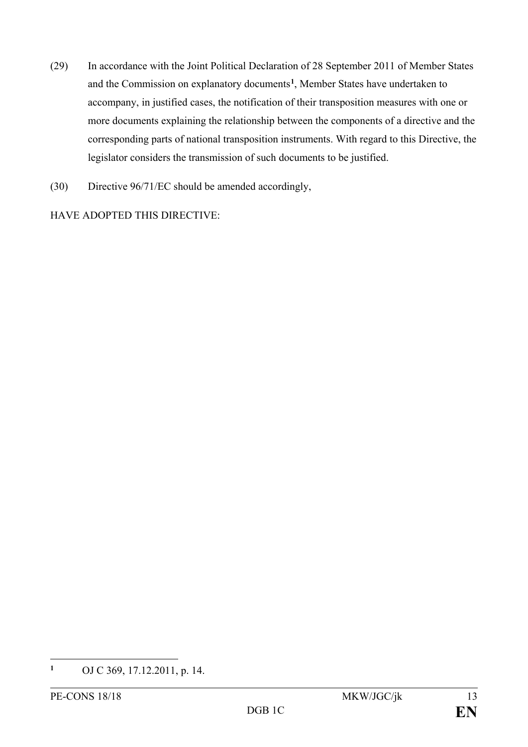- (29) In accordance with the Joint Political Declaration of 28 September 2011 of Member States and the Commission on explanatory documents**[1](#page-13-0)** , Member States have undertaken to accompany, in justified cases, the notification of their transposition measures with one or more documents explaining the relationship between the components of a directive and the corresponding parts of national transposition instruments. With regard to this Directive, the legislator considers the transmission of such documents to be justified.
- (30) Directive 96/71/EC should be amended accordingly,

HAVE ADOPTED THIS DIRECTIVE:

<span id="page-13-0"></span> $\mathbf{1}$ **<sup>1</sup>** OJ C 369, 17.12.2011, p. 14.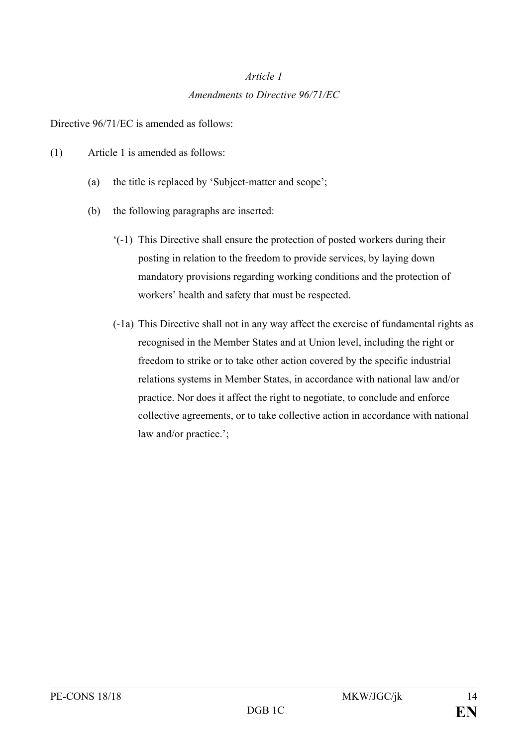# *Article 1 Amendments to Directive 96/71/EC*

Directive 96/71/EC is amended as follows:

- (1) Article 1 is amended as follows:
	- (a) the title is replaced by 'Subject-matter and scope';
	- (b) the following paragraphs are inserted:
		- '(-1) This Directive shall ensure the protection of posted workers during their posting in relation to the freedom to provide services, by laying down mandatory provisions regarding working conditions and the protection of workers' health and safety that must be respected.
		- (-1a) This Directive shall not in any way affect the exercise of fundamental rights as recognised in the Member States and at Union level, including the right or freedom to strike or to take other action covered by the specific industrial relations systems in Member States, in accordance with national law and/or practice. Nor does it affect the right to negotiate, to conclude and enforce collective agreements, or to take collective action in accordance with national law and/or practice.';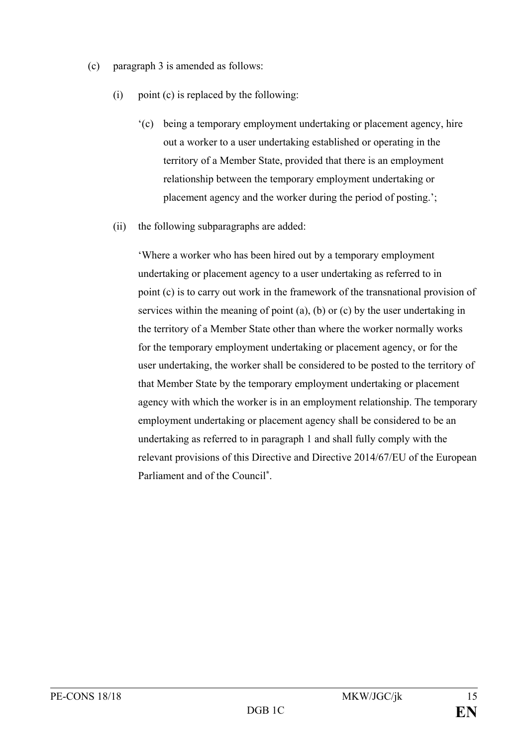- (c) paragraph 3 is amended as follows:
	- (i) point (c) is replaced by the following:
		- '(c) being a temporary employment undertaking or placement agency, hire out a worker to a user undertaking established or operating in the territory of a Member State, provided that there is an employment relationship between the temporary employment undertaking or placement agency and the worker during the period of posting.';
	- (ii) the following subparagraphs are added:

'Where a worker who has been hired out by a temporary employment undertaking or placement agency to a user undertaking as referred to in point (c) is to carry out work in the framework of the transnational provision of services within the meaning of point (a), (b) or (c) by the user undertaking in the territory of a Member State other than where the worker normally works for the temporary employment undertaking or placement agency, or for the user undertaking, the worker shall be considered to be posted to the territory of that Member State by the temporary employment undertaking or placement agency with which the worker is in an employment relationship. The temporary employment undertaking or placement agency shall be considered to be an undertaking as referred to in paragraph 1 and shall fully comply with the relevant provisions of this Directive and Directive 2014/67/EU of the European Parliament and of the Council**\***.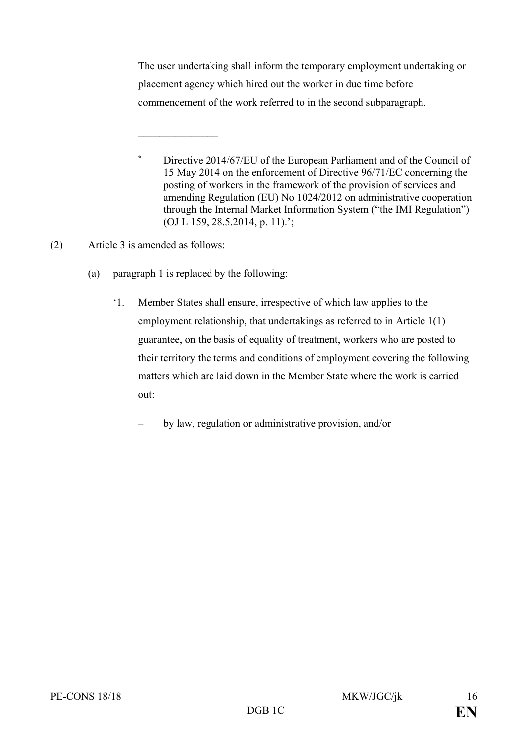The user undertaking shall inform the temporary employment undertaking or placement agency which hired out the worker in due time before commencement of the work referred to in the second subparagraph.

(2) Article 3 is amended as follows:

(a) paragraph 1 is replaced by the following:

 $\frac{1}{2}$  ,  $\frac{1}{2}$  ,  $\frac{1}{2}$  ,  $\frac{1}{2}$  ,  $\frac{1}{2}$  ,  $\frac{1}{2}$  ,  $\frac{1}{2}$ 

- '1. Member States shall ensure, irrespective of which law applies to the employment relationship, that undertakings as referred to in Article 1(1) guarantee, on the basis of equality of treatment, workers who are posted to their territory the terms and conditions of employment covering the following matters which are laid down in the Member State where the work is carried out:
	- by law, regulation or administrative provision, and/or

**<sup>\*</sup>** Directive 2014/67/EU of the European Parliament and of the Council of 15 May 2014 on the enforcement of Directive 96/71/EC concerning the posting of workers in the framework of the provision of services and amending Regulation (EU) No 1024/2012 on administrative cooperation through the Internal Market Information System ("the IMI Regulation") (OJ L 159, 28.5.2014, p. 11).';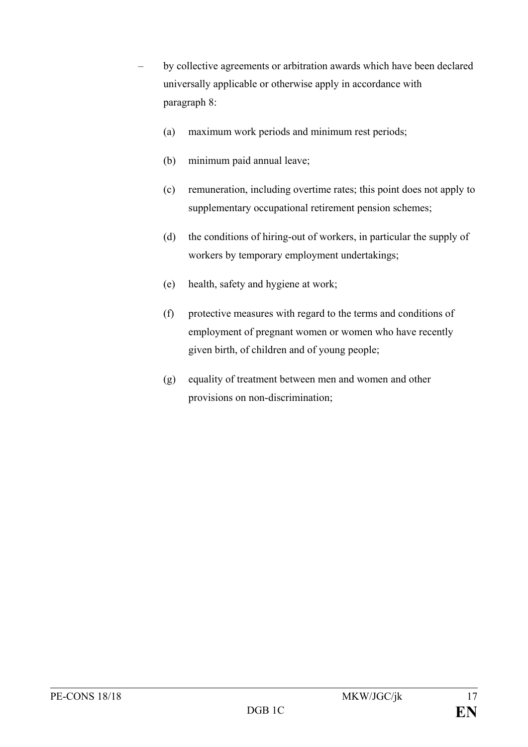- by collective agreements or arbitration awards which have been declared universally applicable or otherwise apply in accordance with paragraph 8:
	- (a) maximum work periods and minimum rest periods;
	- (b) minimum paid annual leave;
	- (c) remuneration, including overtime rates; this point does not apply to supplementary occupational retirement pension schemes;
	- (d) the conditions of hiring-out of workers, in particular the supply of workers by temporary employment undertakings;
	- (e) health, safety and hygiene at work;
	- (f) protective measures with regard to the terms and conditions of employment of pregnant women or women who have recently given birth, of children and of young people;
	- (g) equality of treatment between men and women and other provisions on non-discrimination;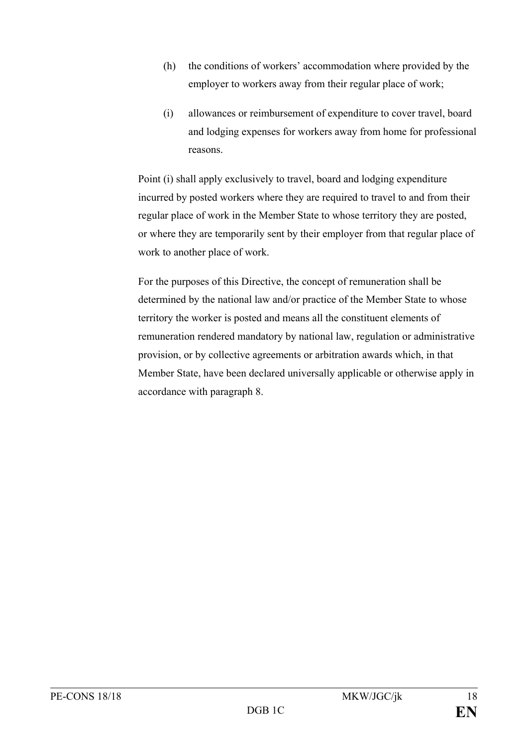- (h) the conditions of workers' accommodation where provided by the employer to workers away from their regular place of work;
- (i) allowances or reimbursement of expenditure to cover travel, board and lodging expenses for workers away from home for professional reasons.

Point (i) shall apply exclusively to travel, board and lodging expenditure incurred by posted workers where they are required to travel to and from their regular place of work in the Member State to whose territory they are posted, or where they are temporarily sent by their employer from that regular place of work to another place of work.

For the purposes of this Directive, the concept of remuneration shall be determined by the national law and/or practice of the Member State to whose territory the worker is posted and means all the constituent elements of remuneration rendered mandatory by national law, regulation or administrative provision, or by collective agreements or arbitration awards which, in that Member State, have been declared universally applicable or otherwise apply in accordance with paragraph 8.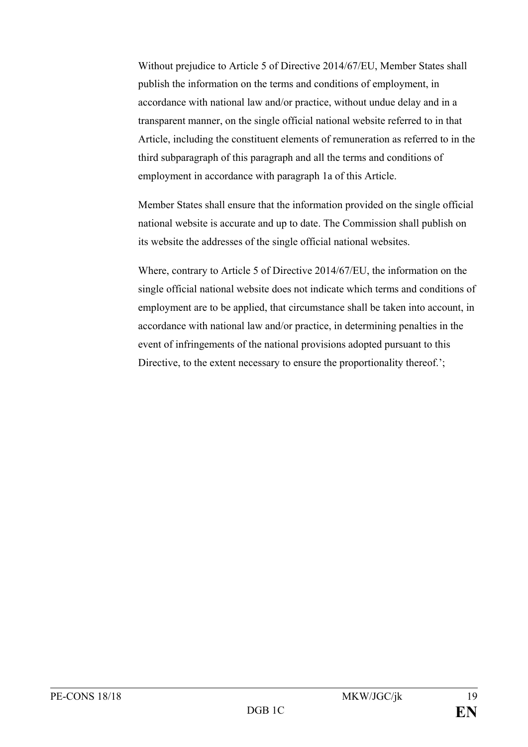Without prejudice to Article 5 of Directive 2014/67/EU, Member States shall publish the information on the terms and conditions of employment, in accordance with national law and/or practice, without undue delay and in a transparent manner, on the single official national website referred to in that Article, including the constituent elements of remuneration as referred to in the third subparagraph of this paragraph and all the terms and conditions of employment in accordance with paragraph 1a of this Article.

Member States shall ensure that the information provided on the single official national website is accurate and up to date. The Commission shall publish on its website the addresses of the single official national websites.

Where, contrary to Article 5 of Directive 2014/67/EU, the information on the single official national website does not indicate which terms and conditions of employment are to be applied, that circumstance shall be taken into account, in accordance with national law and/or practice, in determining penalties in the event of infringements of the national provisions adopted pursuant to this Directive, to the extent necessary to ensure the proportionality thereof.';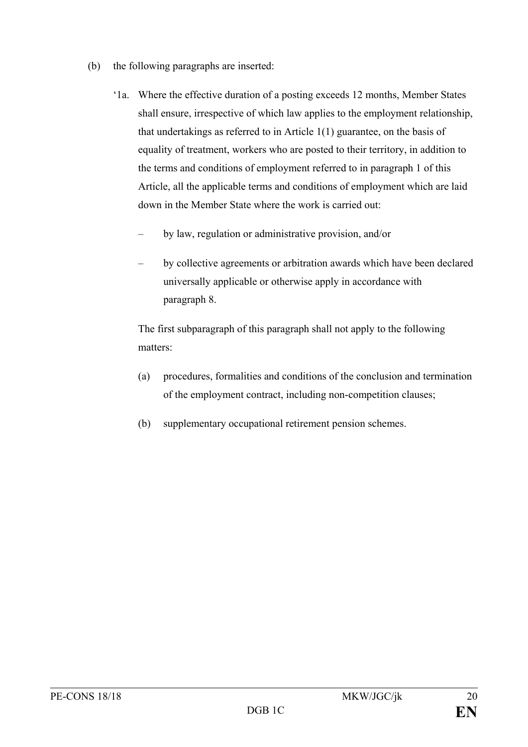- (b) the following paragraphs are inserted:
	- '1a. Where the effective duration of a posting exceeds 12 months, Member States shall ensure, irrespective of which law applies to the employment relationship, that undertakings as referred to in Article 1(1) guarantee, on the basis of equality of treatment, workers who are posted to their territory, in addition to the terms and conditions of employment referred to in paragraph 1 of this Article, all the applicable terms and conditions of employment which are laid down in the Member State where the work is carried out:
		- by law, regulation or administrative provision, and/or
		- by collective agreements or arbitration awards which have been declared universally applicable or otherwise apply in accordance with paragraph 8.

The first subparagraph of this paragraph shall not apply to the following matters:

- (a) procedures, formalities and conditions of the conclusion and termination of the employment contract, including non-competition clauses;
- (b) supplementary occupational retirement pension schemes.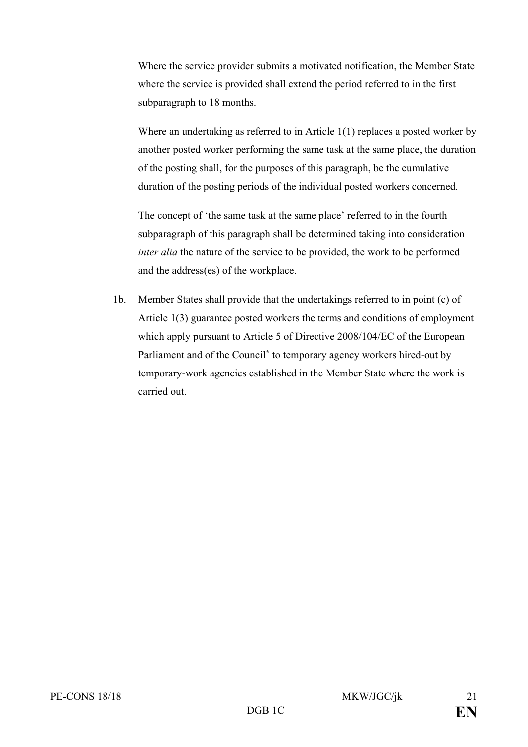Where the service provider submits a motivated notification, the Member State where the service is provided shall extend the period referred to in the first subparagraph to 18 months.

Where an undertaking as referred to in Article 1(1) replaces a posted worker by another posted worker performing the same task at the same place, the duration of the posting shall, for the purposes of this paragraph, be the cumulative duration of the posting periods of the individual posted workers concerned.

The concept of 'the same task at the same place' referred to in the fourth subparagraph of this paragraph shall be determined taking into consideration *inter alia* the nature of the service to be provided, the work to be performed and the address(es) of the workplace.

1b. Member States shall provide that the undertakings referred to in point (c) of Article 1(3) guarantee posted workers the terms and conditions of employment which apply pursuant to Article 5 of Directive 2008/104/EC of the European Parliament and of the Council**\*** to temporary agency workers hired-out by temporary-work agencies established in the Member State where the work is carried out.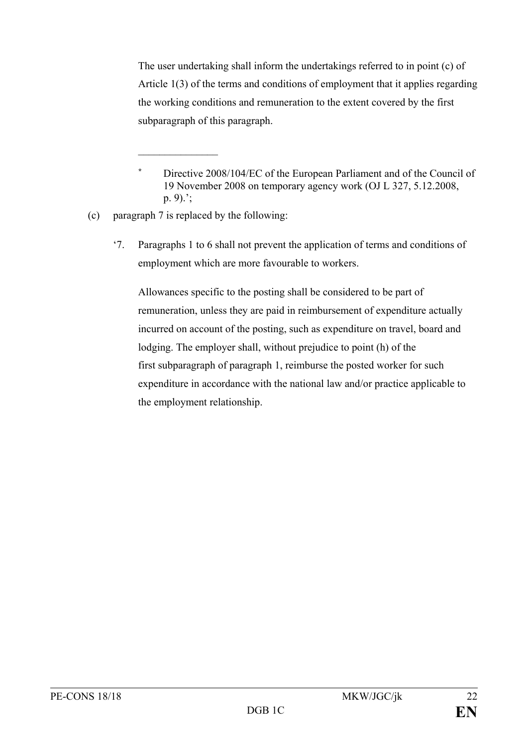The user undertaking shall inform the undertakings referred to in point (c) of Article 1(3) of the terms and conditions of employment that it applies regarding the working conditions and remuneration to the extent covered by the first subparagraph of this paragraph.

(c) paragraph 7 is replaced by the following:

 $\frac{1}{2}$  ,  $\frac{1}{2}$  ,  $\frac{1}{2}$  ,  $\frac{1}{2}$  ,  $\frac{1}{2}$  ,  $\frac{1}{2}$  ,  $\frac{1}{2}$ 

'7. Paragraphs 1 to 6 shall not prevent the application of terms and conditions of employment which are more favourable to workers.

Allowances specific to the posting shall be considered to be part of remuneration, unless they are paid in reimbursement of expenditure actually incurred on account of the posting, such as expenditure on travel, board and lodging. The employer shall, without prejudice to point (h) of the first subparagraph of paragraph 1, reimburse the posted worker for such expenditure in accordance with the national law and/or practice applicable to the employment relationship.

**<sup>\*</sup>** Directive 2008/104/EC of the European Parliament and of the Council of 19 November 2008 on temporary agency work (OJ L 327, 5.12.2008, p. 9).';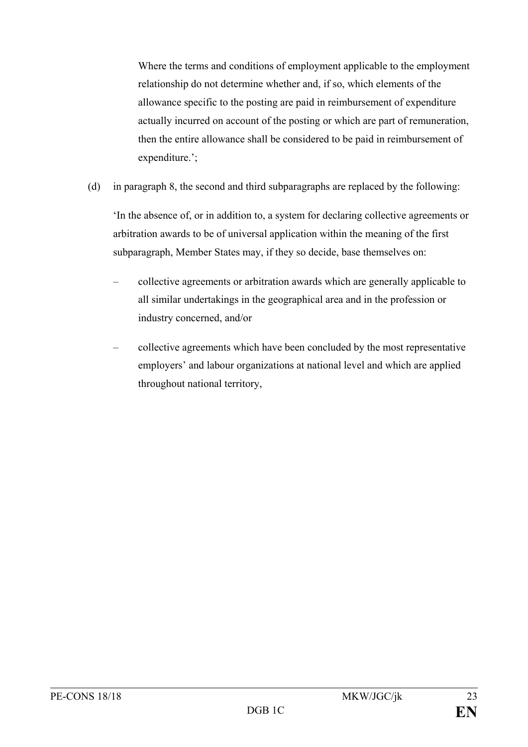Where the terms and conditions of employment applicable to the employment relationship do not determine whether and, if so, which elements of the allowance specific to the posting are paid in reimbursement of expenditure actually incurred on account of the posting or which are part of remuneration, then the entire allowance shall be considered to be paid in reimbursement of expenditure.';

(d) in paragraph 8, the second and third subparagraphs are replaced by the following:

'In the absence of, or in addition to, a system for declaring collective agreements or arbitration awards to be of universal application within the meaning of the first subparagraph, Member States may, if they so decide, base themselves on:

- collective agreements or arbitration awards which are generally applicable to all similar undertakings in the geographical area and in the profession or industry concerned, and/or
- collective agreements which have been concluded by the most representative employers' and labour organizations at national level and which are applied throughout national territory,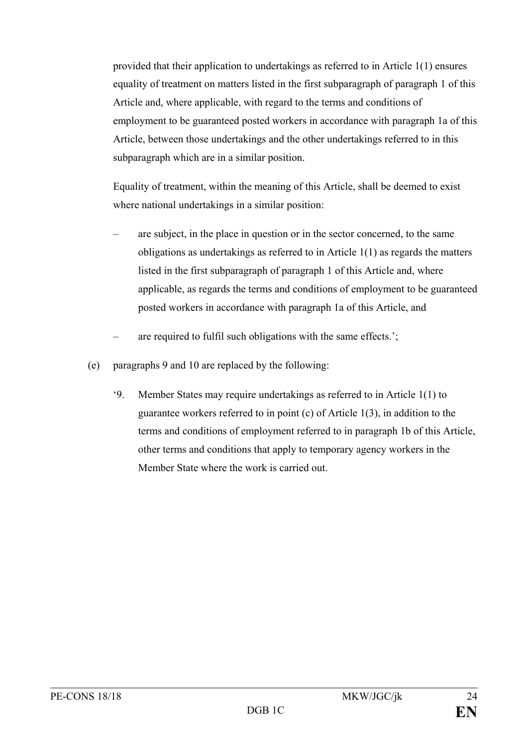provided that their application to undertakings as referred to in Article 1(1) ensures equality of treatment on matters listed in the first subparagraph of paragraph 1 of this Article and, where applicable, with regard to the terms and conditions of employment to be guaranteed posted workers in accordance with paragraph 1a of this Article, between those undertakings and the other undertakings referred to in this subparagraph which are in a similar position.

Equality of treatment, within the meaning of this Article, shall be deemed to exist where national undertakings in a similar position:

- are subject, in the place in question or in the sector concerned, to the same obligations as undertakings as referred to in Article 1(1) as regards the matters listed in the first subparagraph of paragraph 1 of this Article and, where applicable, as regards the terms and conditions of employment to be guaranteed posted workers in accordance with paragraph 1a of this Article, and
- are required to fulfil such obligations with the same effects.';
- (e) paragraphs 9 and 10 are replaced by the following:
	- '9. Member States may require undertakings as referred to in Article 1(1) to guarantee workers referred to in point (c) of Article 1(3), in addition to the terms and conditions of employment referred to in paragraph 1b of this Article, other terms and conditions that apply to temporary agency workers in the Member State where the work is carried out.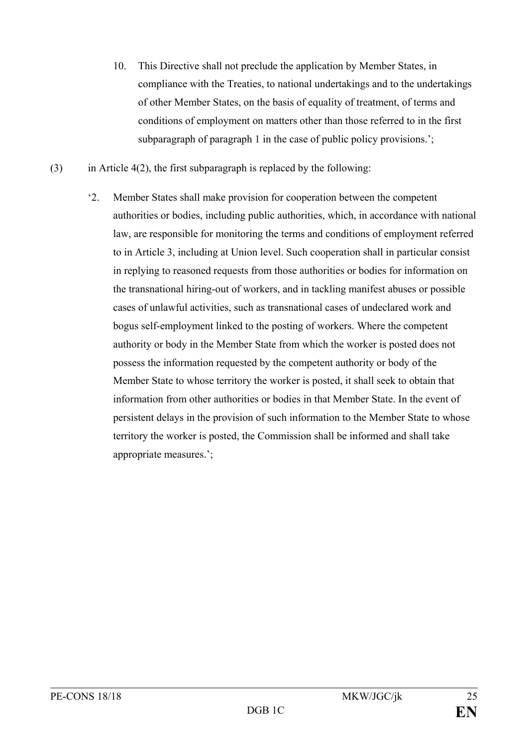- 10. This Directive shall not preclude the application by Member States, in compliance with the Treaties, to national undertakings and to the undertakings of other Member States, on the basis of equality of treatment, of terms and conditions of employment on matters other than those referred to in the first subparagraph of paragraph 1 in the case of public policy provisions.';
- (3) in Article 4(2), the first subparagraph is replaced by the following:
	- '2. Member States shall make provision for cooperation between the competent authorities or bodies, including public authorities, which, in accordance with national law, are responsible for monitoring the terms and conditions of employment referred to in Article 3, including at Union level. Such cooperation shall in particular consist in replying to reasoned requests from those authorities or bodies for information on the transnational hiring-out of workers, and in tackling manifest abuses or possible cases of unlawful activities, such as transnational cases of undeclared work and bogus self-employment linked to the posting of workers. Where the competent authority or body in the Member State from which the worker is posted does not possess the information requested by the competent authority or body of the Member State to whose territory the worker is posted, it shall seek to obtain that information from other authorities or bodies in that Member State. In the event of persistent delays in the provision of such information to the Member State to whose territory the worker is posted, the Commission shall be informed and shall take appropriate measures.';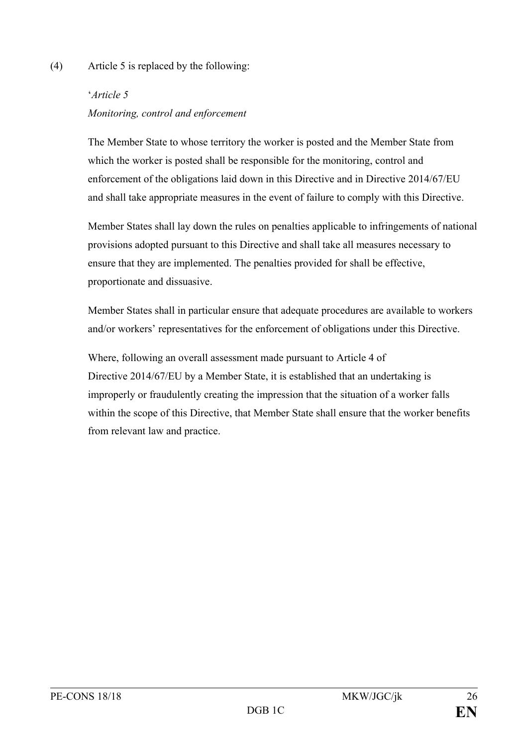### (4) Article 5 is replaced by the following:

# '*Article 5 Monitoring, control and enforcement*

The Member State to whose territory the worker is posted and the Member State from which the worker is posted shall be responsible for the monitoring, control and enforcement of the obligations laid down in this Directive and in Directive 2014/67/EU and shall take appropriate measures in the event of failure to comply with this Directive.

Member States shall lay down the rules on penalties applicable to infringements of national provisions adopted pursuant to this Directive and shall take all measures necessary to ensure that they are implemented. The penalties provided for shall be effective, proportionate and dissuasive.

Member States shall in particular ensure that adequate procedures are available to workers and/or workers' representatives for the enforcement of obligations under this Directive.

Where, following an overall assessment made pursuant to Article 4 of Directive 2014/67/EU by a Member State, it is established that an undertaking is improperly or fraudulently creating the impression that the situation of a worker falls within the scope of this Directive, that Member State shall ensure that the worker benefits from relevant law and practice.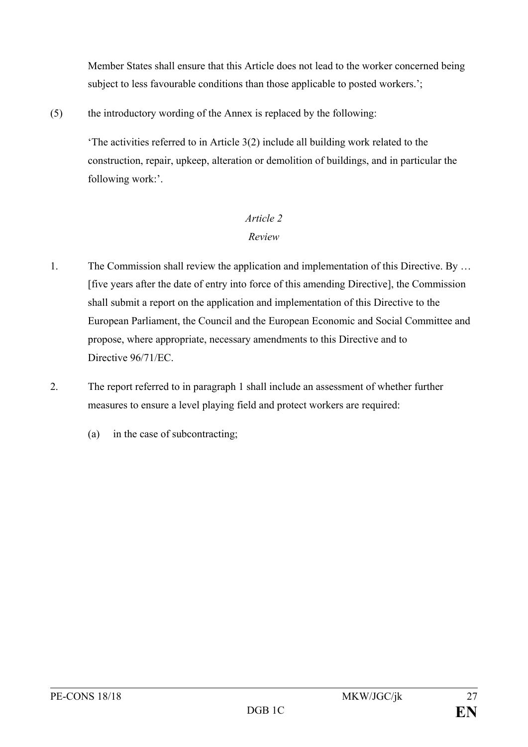Member States shall ensure that this Article does not lead to the worker concerned being subject to less favourable conditions than those applicable to posted workers.';

(5) the introductory wording of the Annex is replaced by the following:

'The activities referred to in Article 3(2) include all building work related to the construction, repair, upkeep, alteration or demolition of buildings, and in particular the following work:'.

# *Article 2 Review*

- 1. The Commission shall review the application and implementation of this Directive. By … [five years after the date of entry into force of this amending Directive], the Commission shall submit a report on the application and implementation of this Directive to the European Parliament, the Council and the European Economic and Social Committee and propose, where appropriate, necessary amendments to this Directive and to Directive 96/71/EC.
- 2. The report referred to in paragraph 1 shall include an assessment of whether further measures to ensure a level playing field and protect workers are required:
	- (a) in the case of subcontracting;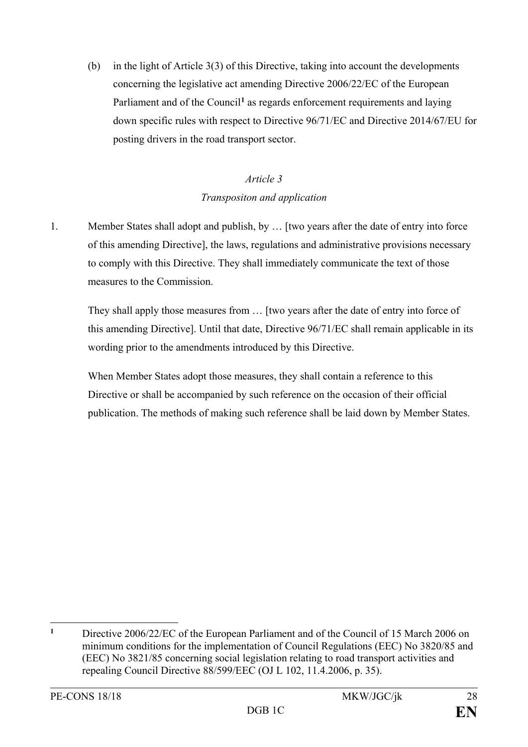(b) in the light of Article 3(3) of this Directive, taking into account the developments concerning the legislative act amending Directive 2006/22/EC of the European Parliament and of the Council<sup>[1](#page-28-0)</sup> as regards enforcement requirements and laying down specific rules with respect to Directive 96/71/EC and Directive 2014/67/EU for posting drivers in the road transport sector.

# *Article 3 Transpositon and application*

1. Member States shall adopt and publish, by … [two years after the date of entry into force of this amending Directive], the laws, regulations and administrative provisions necessary to comply with this Directive. They shall immediately communicate the text of those measures to the Commission.

They shall apply those measures from … [two years after the date of entry into force of this amending Directive]. Until that date, Directive 96/71/EC shall remain applicable in its wording prior to the amendments introduced by this Directive.

When Member States adopt those measures, they shall contain a reference to this Directive or shall be accompanied by such reference on the occasion of their official publication. The methods of making such reference shall be laid down by Member States.

<span id="page-28-0"></span> $\overline{a}$ **<sup>1</sup>** Directive 2006/22/EC of the European Parliament and of the Council of 15 March 2006 on minimum conditions for the implementation of Council Regulations (EEC) No 3820/85 and (EEC) No 3821/85 concerning social legislation relating to road transport activities and repealing Council Directive 88/599/EEC (OJ L 102, 11.4.2006, p. 35).